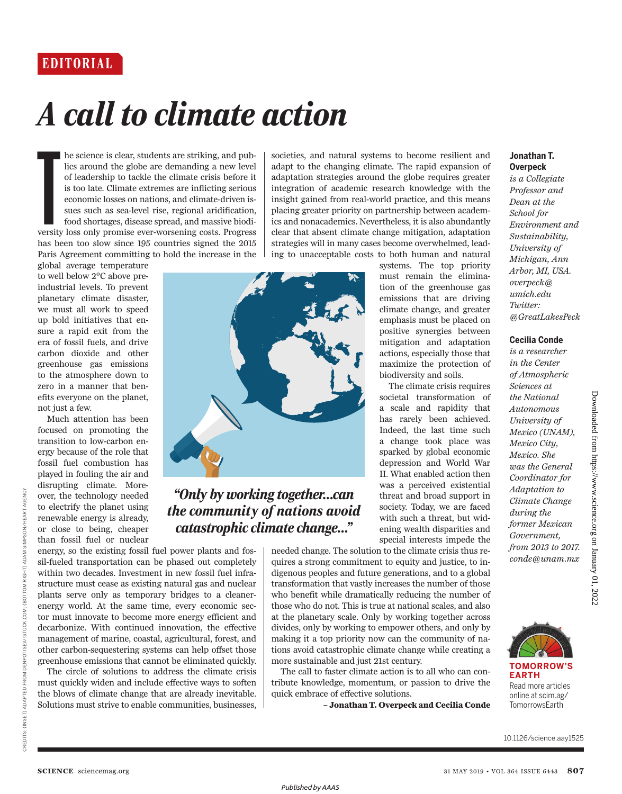# *A call to climate action*

**THE** he science is clear, students are striking, and publics around the globe are demanding a new level of leadership to tackle the climate crisis before it is too late. Climate extremes are inflicting serious economic losses on nations, and climate-driven issues such as sea-level rise, regional aridification, food shortages, disease spread, and massive biodiversity loss only promise ever-worsening costs. Progress has been too slow since 195 countries signed the 2015 Paris Agreement committing to hold the increase in the

global average temperature to well below 2°C above preindustrial levels. To prevent planetary climate disaster, we must all work to speed up bold initiatives that ensure a rapid exit from the era of fossil fuels, and drive carbon dioxide and other greenhouse gas emissions to the atmosphere down to zero in a manner that benefits everyone on the planet, not just a few.

Much attention has been focused on promoting the transition to low-carbon energy because of the role that fossil fuel combustion has played in fouling the air and disrupting climate. Moreover, the technology needed to electrify the planet using renewable energy is already, or close to being, cheaper than fossil fuel or nuclear



## *"Only by working together…can the community of nations avoid catastrophic climate change…"*

energy, so the existing fossil fuel power plants and fossil-fueled transportation can be phased out completely within two decades. Investment in new fossil fuel infrastructure must cease as existing natural gas and nuclear plants serve only as temporary bridges to a cleanerenergy world. At the same time, every economic sector must innovate to become more energy efficient and decarbonize. With continued innovation, the effective management of marine, coastal, agricultural, forest, and other carbon-sequestering systems can help offset those greenhouse emissions that cannot be eliminated quickly.

The circle of solutions to address the climate crisis must quickly widen and include effective ways to soften the blows of climate change that are already inevitable. Solutions must strive to enable communities, businesses, societies, and natural systems to become resilient and adapt to the changing climate. The rapid expansion of adaptation strategies around the globe requires greater integration of academic research knowledge with the insight gained from real-world practice, and this means placing greater priority on partnership between academics and nonacademics. Nevertheless, it is also abundantly clear that absent climate change mitigation, adaptation strategies will in many cases become overwhelmed, leading to unacceptable costs to both human and natural

systems. The top priority must remain the elimination of the greenhouse gas emissions that are driving climate change, and greater emphasis must be placed on positive synergies between mitigation and adaptation actions, especially those that maximize the protection of biodiversity and soils.

The climate crisis requires societal transformation of a scale and rapidity that has rarely been achieved. Indeed, the last time such a change took place was sparked by global economic depression and World War II. What enabled action then was a perceived existential threat and broad support in society. Today, we are faced with such a threat, but widening wealth disparities and special interests impede the

needed change. The solution to the climate crisis thus requires a strong commitment to equity and justice, to indigenous peoples and future generations, and to a global transformation that vastly increases the number of those who benefit while dramatically reducing the number of those who do not. This is true at national scales, and also at the planetary scale. Only by working together across divides, only by working to empower others, and only by making it a top priority now can the community of nations avoid catastrophic climate change while creating a more sustainable and just 21st century.

The call to faster climate action is to all who can contribute knowledge, momentum, or passion to drive the quick embrace of effective solutions.

**– Jonathan T. Overpeck and Cecilia Conde** 

#### **Jonathan T. Overpeck**

*is a Collegiate Professor and Dean at the School for Environment and Sustainability, University of Michigan, Ann Arbor, MI, USA. overpeck@ umich.edu Twitter: @GreatLakesPeck*

#### **Cecilia Conde**

*is a researcher in the Center of Atmospheric Sciences at the National Autonomous University of Mexico (UNAM), Mexico City, Mexico. She was the General Coordinator for Adaptation to Climate Change during the former Mexican Government, from 2013 to 2017. conde@unam.mx*

Downloaded from https://www.science.org on January 01, 2022 Downloaded from https://www.science.org on January 01, 2022



**TOMORROW'S EARTH** Read more articles online at scim.ag/ **TomorrowsEarth**